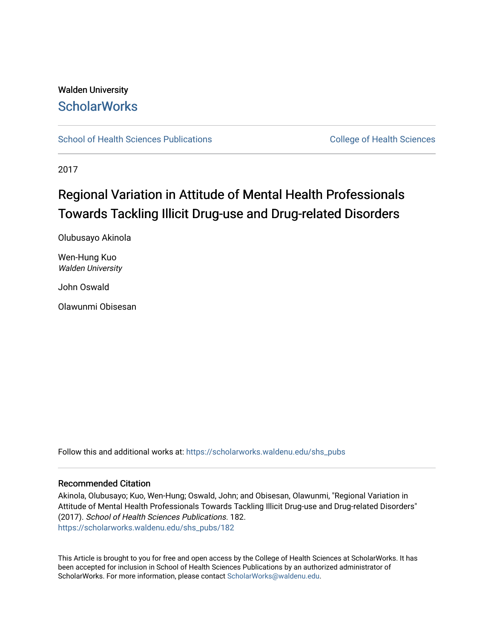# Walden University **ScholarWorks**

[School of Health Sciences Publications](https://scholarworks.waldenu.edu/shs_pubs) College of Health Sciences

2017

# Regional Variation in Attitude of Mental Health Professionals Towards Tackling Illicit Drug-use and Drug-related Disorders

Olubusayo Akinola

Wen-Hung Kuo Walden University

John Oswald

Olawunmi Obisesan

Follow this and additional works at: [https://scholarworks.waldenu.edu/shs\\_pubs](https://scholarworks.waldenu.edu/shs_pubs?utm_source=scholarworks.waldenu.edu%2Fshs_pubs%2F182&utm_medium=PDF&utm_campaign=PDFCoverPages)

# Recommended Citation

Akinola, Olubusayo; Kuo, Wen-Hung; Oswald, John; and Obisesan, Olawunmi, "Regional Variation in Attitude of Mental Health Professionals Towards Tackling Illicit Drug-use and Drug-related Disorders" (2017). School of Health Sciences Publications. 182. [https://scholarworks.waldenu.edu/shs\\_pubs/182](https://scholarworks.waldenu.edu/shs_pubs/182?utm_source=scholarworks.waldenu.edu%2Fshs_pubs%2F182&utm_medium=PDF&utm_campaign=PDFCoverPages) 

This Article is brought to you for free and open access by the College of Health Sciences at ScholarWorks. It has been accepted for inclusion in School of Health Sciences Publications by an authorized administrator of ScholarWorks. For more information, please contact [ScholarWorks@waldenu.edu](mailto:ScholarWorks@waldenu.edu).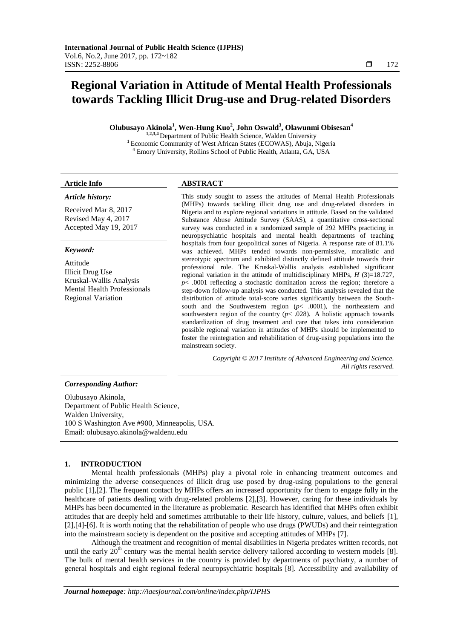# **Regional Variation in Attitude of Mental Health Professionals towards Tackling Illicit Drug-use and Drug-related Disorders**

**Olubusayo Akinola<sup>1</sup> , Wen-Hung Kuo<sup>2</sup> , John Oswald<sup>3</sup> , Olawunmi Obisesan<sup>4</sup>**

**1,2,3,4** Department of Public Health Science, Walden University **<sup>1</sup>**Economic Community of West African States (ECOWAS), Abuja, Nigeria <sup>4</sup> Emory University, Rollins School of Public Health, Atlanta, GA, USA

#### *Article history:*

Received Mar 8, 2017 Revised May 4, 2017 Accepted May 19, 2017

#### *Keyword:*

Attitude Illicit Drug Use Kruskal-Wallis Analysis Mental Health Professionals Regional Variation

# **Article Info ABSTRACT**

This study sought to assess the attitudes of Mental Health Professionals (MHPs) towards tackling illicit drug use and drug-related disorders in Nigeria and to explore regional variations in attitude. Based on the validated Substance Abuse Attitude Survey (SAAS), a quantitative cross-sectional survey was conducted in a randomized sample of 292 MHPs practicing in neuropsychiatric hospitals and mental health departments of teaching hospitals from four geopolitical zones of Nigeria. A response rate of 81.1% was achieved. MHPs tended towards non-permissive, moralistic and stereotypic spectrum and exhibited distinctly defined attitude towards their professional role. The Kruskal-Wallis analysis established significant regional variation in the attitude of multidisciplinary MHPs, *H* (3)=18.727, *p*< .0001 reflecting a stochastic domination across the region; therefore a step-down follow-up analysis was conducted. This analysis revealed that the distribution of attitude total-score varies significantly between the Southsouth and the Southwestern region (*p*< .0001), the northeastern and southwestern region of the country  $(p< .028)$ . A holistic approach towards standardization of drug treatment and care that takes into consideration possible regional variation in attitudes of MHPs should be implemented to foster the reintegration and rehabilitation of drug-using populations into the mainstream society.

> *Copyright © 2017 Institute of Advanced Engineering and Science. All rights reserved.*

#### *Corresponding Author:*

Olubusayo Akinola, Department of Public Health Science, Walden University, 100 S Washington Ave #900, Minneapolis, USA. Email: olubusayo.akinola@waldenu.edu

#### **1. INTRODUCTION**

Mental health professionals (MHPs) play a pivotal role in enhancing treatment outcomes and minimizing the adverse consequences of illicit drug use posed by drug-using populations to the general public [1],[2]. The frequent contact by MHPs offers an increased opportunity for them to engage fully in the healthcare of patients dealing with drug-related problems [2],[3]. However, caring for these individuals by MHPs has been documented in the literature as problematic. Research has identified that MHPs often exhibit attitudes that are deeply held and sometimes attributable to their life history, culture, values, and beliefs [1], [2],[4]-[6]. It is worth noting that the rehabilitation of people who use drugs (PWUDs) and their reintegration into the mainstream society is dependent on the positive and accepting attitudes of MHPs [7].

Although the treatment and recognition of mental disabilities in Nigeria predates written records, not until the early  $20<sup>th</sup>$  century was the mental health service delivery tailored according to western models [8]. The bulk of mental health services in the country is provided by departments of psychiatry, a number of general hospitals and eight regional federal neuropsychiatric hospitals [8]. Accessibility and availability of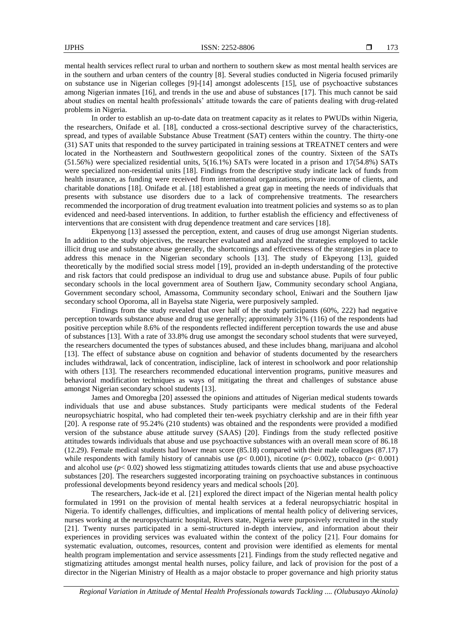mental health services reflect rural to urban and northern to southern skew as most mental health services are in the southern and urban centers of the country [8]. Several studies conducted in Nigeria focused primarily on substance use in Nigerian colleges [9]-[14] amongst adolescents [15], use of psychoactive substances among Nigerian inmates [16], and trends in the use and abuse of substances [17]. This much cannot be said about studies on mental health professionals' attitude towards the care of patients dealing with drug-related problems in Nigeria.

In order to establish an up-to-date data on treatment capacity as it relates to PWUDs within Nigeria, the researchers, Onifade et al. [18], conducted a cross-sectional descriptive survey of the characteristics, spread, and types of available Substance Abuse Treatment (SAT) centers within the country. The thirty-one (31) SAT units that responded to the survey participated in training sessions at TREATNET centers and were located in the Northeastern and Southwestern geopolitical zones of the country. Sixteen of the SATs (51.56%) were specialized residential units, 5(16.1%) SATs were located in a prison and 17(54.8%) SATs were specialized non-residential units [18]. Findings from the descriptive study indicate lack of funds from health insurance, as funding were received from international organizations, private income of clients, and charitable donations [18]. Onifade et al. [18] established a great gap in meeting the needs of individuals that presents with substance use disorders due to a lack of comprehensive treatments. The researchers recommended the incorporation of drug treatment evaluation into treatment policies and systems so as to plan evidenced and need-based interventions. In addition, to further establish the efficiency and effectiveness of interventions that are consistent with drug dependence treatment and care services [18].

Ekpenyong [13] assessed the perception, extent, and causes of drug use amongst Nigerian students. In addition to the study objectives, the researcher evaluated and analyzed the strategies employed to tackle illicit drug use and substance abuse generally, the shortcomings and effectiveness of the strategies in place to address this menace in the Nigerian secondary schools [13]. The study of Ekpeyong [13], guided theoretically by the modified social stress model [19], provided an in-depth understanding of the protective and risk factors that could predispose an individual to drug use and substance abuse. Pupils of four public secondary schools in the local government area of Southern Ijaw, Community secondary school Angiana, Government secondary school, Amassoma, Community secondary school, Eniwari and the Southern Ijaw secondary school Oporoma, all in Bayelsa state Nigeria, were purposively sampled.

Findings from the study revealed that over half of the study participants (60%, 222) had negative perception towards substance abuse and drug use generally; approximately 31% (116) of the respondents had positive perception while 8.6% of the respondents reflected indifferent perception towards the use and abuse of substances [13]. With a rate of 33.8% drug use amongst the secondary school students that were surveyed, the researchers documented the types of substances abused, and these includes bhang, marijuana and alcohol [13]. The effect of substance abuse on cognition and behavior of students documented by the researchers includes withdrawal, lack of concentration, indiscipline, lack of interest in schoolwork and poor relationship with others [13]. The researchers recommended educational intervention programs, punitive measures and behavioral modification techniques as ways of mitigating the threat and challenges of substance abuse amongst Nigerian secondary school students [13].

James and Omoregba [20] assessed the opinions and attitudes of Nigerian medical students towards individuals that use and abuse substances. Study participants were medical students of the Federal neuropsychiatric hospital, who had completed their ten-week psychiatry clerkship and are in their fifth year [20]. A response rate of 95.24% (210 students) was obtained and the respondents were provided a modified version of the substance abuse attitude survey (SAAS) [20]. Findings from the study reflected positive attitudes towards individuals that abuse and use psychoactive substances with an overall mean score of 86.18 (12.29). Female medical students had lower mean score (85.18) compared with their male colleagues (87.17) while respondents with family history of cannabis use (*p*< 0.001), nicotine (*p*< 0.002), tobacco (*p*< 0.001) and alcohol use  $(p< 0.02)$  showed less stigmatizing attitudes towards clients that use and abuse psychoactive substances [20]. The researchers suggested incorporating training on psychoactive substances in continuous professional developments beyond residency years and medical schools [20].

The researchers, Jack-ide et al. [21] explored the direct impact of the Nigerian mental health policy formulated in 1991 on the provision of mental health services at a federal neuropsychiatric hospital in Nigeria. To identify challenges, difficulties, and implications of mental health policy of delivering services, nurses working at the neuropsychiatric hospital, Rivers state, Nigeria were purposively recruited in the study [21]. Twenty nurses participated in a semi-structured in-depth interview, and information about their experiences in providing services was evaluated within the context of the policy [21]. Four domains for systematic evaluation, outcomes, resources, content and provision were identified as elements for mental health program implementation and service assessments [21]. Findings from the study reflected negative and stigmatizing attitudes amongst mental health nurses, policy failure, and lack of provision for the post of a director in the Nigerian Ministry of Health as a major obstacle to proper governance and high priority status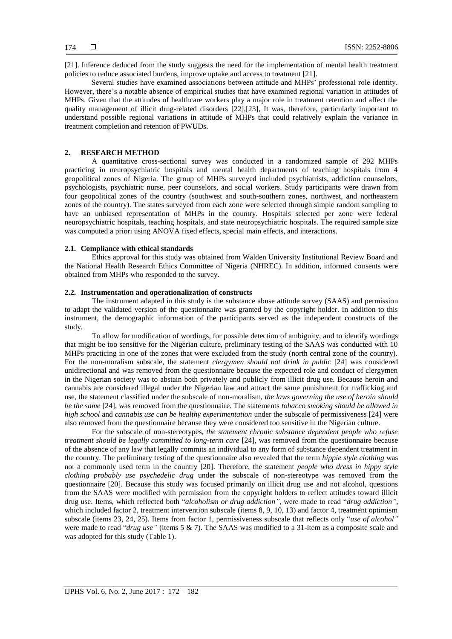[21]. Inference deduced from the study suggests the need for the implementation of mental health treatment policies to reduce associated burdens, improve uptake and access to treatment [21].

Several studies have examined associations between attitude and MHPs' professional role identity. However, there's a notable absence of empirical studies that have examined regional variation in attitudes of MHPs. Given that the attitudes of healthcare workers play a major role in treatment retention and affect the quality management of illicit drug-related disorders [22],[23], It was, therefore, particularly important to understand possible regional variations in attitude of MHPs that could relatively explain the variance in treatment completion and retention of PWUDs.

## **2. RESEARCH METHOD**

A quantitative cross-sectional survey was conducted in a randomized sample of 292 MHPs practicing in neuropsychiatric hospitals and mental health departments of teaching hospitals from 4 geopolitical zones of Nigeria. The group of MHPs surveyed included psychiatrists, addiction counselors, psychologists, psychiatric nurse, peer counselors, and social workers. Study participants were drawn from four geopolitical zones of the country (southwest and south-southern zones, northwest, and northeastern zones of the country). The states surveyed from each zone were selected through simple random sampling to have an unbiased representation of MHPs in the country. Hospitals selected per zone were federal neuropsychiatric hospitals, teaching hospitals, and state neuropsychiatric hospitals. The required sample size was computed a priori using ANOVA fixed effects, special main effects, and interactions.

#### **2.1. Compliance with ethical standards**

Ethics approval for this study was obtained from Walden University Institutional Review Board and the National Health Research Ethics Committee of Nigeria (NHREC). In addition, informed consents were obtained from MHPs who responded to the survey.

### **2.2. Instrumentation and operationalization of constructs**

The instrument adapted in this study is the substance abuse attitude survey (SAAS) and permission to adapt the validated version of the questionnaire was granted by the copyright holder. In addition to this instrument, the demographic information of the participants served as the independent constructs of the study.

To allow for modification of wordings, for possible detection of ambiguity, and to identify wordings that might be too sensitive for the Nigerian culture, preliminary testing of the SAAS was conducted with 10 MHPs practicing in one of the zones that were excluded from the study (north central zone of the country). For the non-moralism subscale, the statement *clergymen should not drink in public* [24] was considered unidirectional and was removed from the questionnaire because the expected role and conduct of clergymen in the Nigerian society was to abstain both privately and publicly from illicit drug use. Because heroin and cannabis are considered illegal under the Nigerian law and attract the same punishment for trafficking and use, the statement classified under the subscale of non-moralism, *the laws governing the use of heroin should be the same* [24], was removed from the questionnaire. The statements *tobacco smoking should be allowed in high school* and *cannabis use can be healthy experimentation* under the subscale of permissiveness [24] were also removed from the questionnaire because they were considered too sensitive in the Nigerian culture.

For the subscale of non-stereotypes, *the statement chronic substance dependent people who refuse treatment should be legally committed to long-term care* [24], was removed from the questionnaire because of the absence of any law that legally commits an individual to any form of substance dependent treatment in the country. The preliminary testing of the questionnaire also revealed that the term *hippie style clothing* was not a commonly used term in the country [20]. Therefore, the statement *people who dress in hippy style clothing probably use psychedelic drug* under the subscale of non-stereotype was removed from the questionnaire [20]. Because this study was focused primarily on illicit drug use and not alcohol, questions from the SAAS were modified with permission from the copyright holders to reflect attitudes toward illicit drug use. Items, which reflected both "*alcoholism or drug addiction",* were made to read "*drug addiction"*, which included factor 2, treatment intervention subscale (items 8, 9, 10, 13) and factor 4, treatment optimism subscale (items 23, 24, 25). Items from factor 1, permissiveness subscale that reflects only "*use of alcohol"* were made to read "*drug use"* (items 5 & 7). The SAAS was modified to a 31-item as a composite scale and was adopted for this study (Table 1).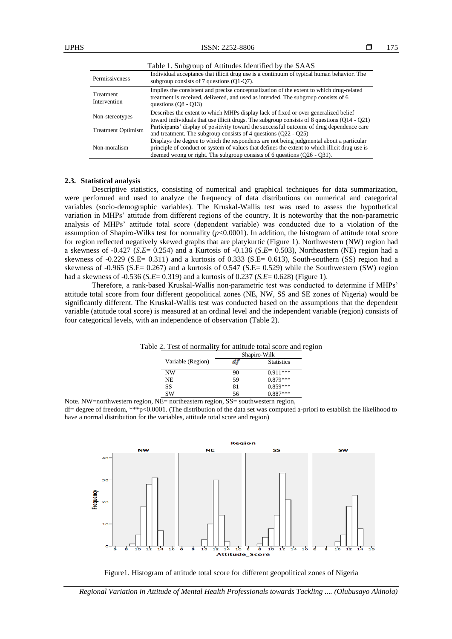|                                  | Table 1. Subgroup of Attitudes Identified by the SAAS                                                                                                                                                                                                                    |
|----------------------------------|--------------------------------------------------------------------------------------------------------------------------------------------------------------------------------------------------------------------------------------------------------------------------|
| Permissiveness                   | Individual acceptance that illicit drug use is a continuum of typical human behavior. The<br>subgroup consists of 7 questions $(Q1-Q7)$ .                                                                                                                                |
| <b>Treatment</b><br>Intervention | Implies the consistent and precise conceptualization of the extent to which drug-related<br>treatment is received, delivered, and used as intended. The subgroup consists of 6<br>questions $(08 - 013)$                                                                 |
| Non-stereotypes                  | Describes the extent to which MHPs display lack of fixed or over generalized belief<br>toward individuals that use illicit drugs. The subgroup consists of 8 questions $(Q14 - Q21)$                                                                                     |
| <b>Treatment Optimism</b>        | Participants' display of positivity toward the successful outcome of drug dependence care<br>and treatment. The subgroup consists of 4 questions $(022 - 025)$                                                                                                           |
| Non-moralism                     | Displays the degree to which the respondents are not being judgmental about a particular<br>principle of conduct or system of values that defines the extent to which illicit drug use is<br>deemed wrong or right. The subgroup consists of 6 questions $(Q26 - Q31)$ . |

#### **2.3. Statistical analysis**

Descriptive statistics, consisting of numerical and graphical techniques for data summarization, were performed and used to analyze the frequency of data distributions on numerical and categorical variables (socio-demographic variables). The Kruskal-Wallis test was used to assess the hypothetical variation in MHPs' attitude from different regions of the country. It is noteworthy that the non-parametric analysis of MHPs' attitude total score (dependent variable) was conducted due to a violation of the assumption of Shapiro-Wilks test for normality  $(p<0.0001)$ . In addition, the histogram of attitude total score for region reflected negatively skewed graphs that are platykurtic (Figure 1). Northwestern (NW) region had a skewness of -0.427 (*S.E*= 0.254) and a Kurtosis of -0.136 (*S.E*= 0.503), Northeastern (NE) region had a skewness of -0.229 (S.E= 0.311) and a kurtosis of 0.333 (S.E= 0.613), South-southern (SS) region had a skewness of -0.965 (S.E= 0.267) and a kurtosis of 0.547 (S.E= 0.529) while the Southwestern (SW) region had a skewness of -0.536 (*S.E*= 0.319) and a kurtosis of 0.237 (*S.E*= 0.628) (Figure 1).

Therefore, a rank-based Kruskal-Wallis non-parametric test was conducted to determine if MHPs' attitude total score from four different geopolitical zones (NE, NW, SS and SE zones of Nigeria) would be significantly different. The Kruskal-Wallis test was conducted based on the assumptions that the dependent variable (attitude total score) is measured at an ordinal level and the independent variable (region) consists of four categorical levels, with an independence of observation (Table 2).

| Table 2. Test of normality for attitude total score and region |  |  |  |  |  |
|----------------------------------------------------------------|--|--|--|--|--|
|----------------------------------------------------------------|--|--|--|--|--|

|    | Shapiro-Wilk      |  |  |
|----|-------------------|--|--|
|    | <b>Statistics</b> |  |  |
| 90 | $0.911***$        |  |  |
| 59 | $0.879***$        |  |  |
| 81 | $0.859***$        |  |  |
| 56 | $0.887***$        |  |  |
|    |                   |  |  |

Note. NW=northwestern region, NE= northeastern region, SS= southwestern region, df= degree of freedom, \*\*\*p<0.0001. (The distribution of the data set was computed a-priori to establish the likelihood to have a normal distribution for the variables, attitude total score and region)



Figure1. Histogram of attitude total score for different geopolitical zones of Nigeria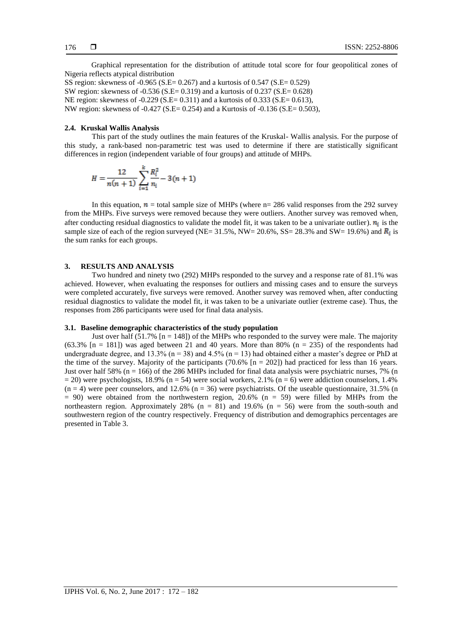Graphical representation for the distribution of attitude total score for four geopolitical zones of Nigeria reflects atypical distribution

SS region: skewness of -0.965 (S.E= 0.267) and a kurtosis of 0.547 (S.E= 0.529) SW region: skewness of -0.536 (S.E= 0.319) and a kurtosis of 0.237 (S.E= 0.628) NE region: skewness of -0.229 (S.E= 0.311) and a kurtosis of 0.333 (S.E= 0.613), NW region: skewness of -0.427 (S.E= 0.254) and a Kurtosis of -0.136 (S.E= 0.503),

#### **2.4. Kruskal Wallis Analysis**

This part of the study outlines the main features of the Kruskal- Wallis analysis. For the purpose of this study, a rank-based non-parametric test was used to determine if there are statistically significant differences in region (independent variable of four groups) and attitude of MHPs.

$$
H = \frac{12}{n(n+1)} \sum_{i=1}^{k} \frac{R_i^2}{n_i} - 3(n+1)
$$

In this equation,  $\mathbf{n}$  = total sample size of MHPs (where n= 286 valid responses from the 292 survey from the MHPs. Five surveys were removed because they were outliers. Another survey was removed when, after conducting residual diagnostics to validate the model fit, it was taken to be a univariate outlier).  $n_i$  is the sample size of each of the region surveyed (NE= 31.5%, NW= 20.6%, SS= 28.3% and SW= 19.6%) and  $\mathbb{R}_i$  is the sum ranks for each groups.

## **3. RESULTS AND ANALYSIS**

Two hundred and ninety two (292) MHPs responded to the survey and a response rate of 81.1% was achieved. However, when evaluating the responses for outliers and missing cases and to ensure the surveys were completed accurately, five surveys were removed. Another survey was removed when, after conducting residual diagnostics to validate the model fit, it was taken to be a univariate outlier (extreme case). Thus, the responses from 286 participants were used for final data analysis.

## **3.1. Baseline demographic characteristics of the study population**

Just over half  $(51.7\%$  [n = 148]) of the MHPs who responded to the survey were male. The majority  $(63.3\% \text{ [n = 181]})$  was aged between 21 and 40 years. More than 80%  $(n = 235)$  of the respondents had undergraduate degree, and 13.3% ( $n = 38$ ) and 4.5% ( $n = 13$ ) had obtained either a master's degree or PhD at the time of the survey. Majority of the participants (70.6%  $[n = 202]$ ) had practiced for less than 16 years. Just over half 58% ( $n = 166$ ) of the 286 MHPs included for final data analysis were psychiatric nurses, 7% (n  $= 20$ ) were psychologists, 18.9% (n = 54) were social workers, 2.1% (n = 6) were addiction counselors, 1.4%  $(n = 4)$  were peer counselors, and 12.6%  $(n = 36)$  were psychiatrists. Of the useable questionnaire, 31.5% (n  $= 90$ ) were obtained from the northwestern region, 20.6% (n  $= 59$ ) were filled by MHPs from the northeastern region. Approximately 28% ( $n = 81$ ) and 19.6% ( $n = 56$ ) were from the south-south and southwestern region of the country respectively. Frequency of distribution and demographics percentages are presented in Table 3.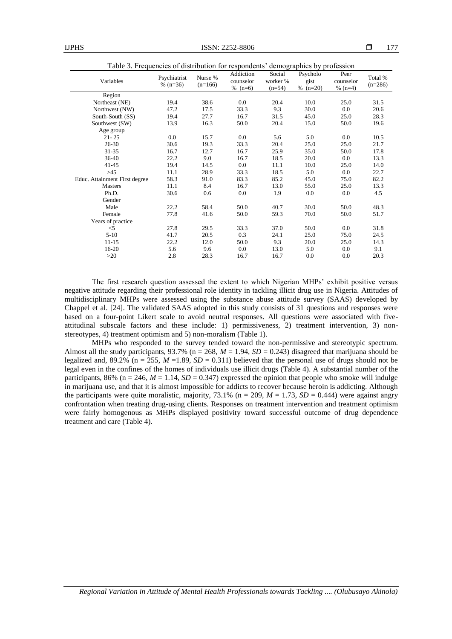| Table 3. Frequencies of distribution for respondents' demographics by profession |                            |                      |                                     |                                |                                |                                |                      |
|----------------------------------------------------------------------------------|----------------------------|----------------------|-------------------------------------|--------------------------------|--------------------------------|--------------------------------|----------------------|
| Variables                                                                        | Psychiatrist<br>% $(n=36)$ | Nurse %<br>$(n=166)$ | Addiction<br>counselor<br>% $(n=6)$ | Social<br>worker %<br>$(n=54)$ | Psycholo<br>gist<br>$% (n=20)$ | Peer<br>counselor<br>% $(n=4)$ | Total %<br>$(n=286)$ |
| Region                                                                           |                            |                      |                                     |                                |                                |                                |                      |
| Northeast (NE)                                                                   | 19.4                       | 38.6                 | 0.0                                 | 20.4                           | 10.0                           | 25.0                           | 31.5                 |
| Northwest (NW)                                                                   | 47.2                       | 17.5                 | 33.3                                | 9.3                            | 30.0                           | 0.0                            | 20.6                 |
| South-South (SS)                                                                 | 19.4                       | 27.7                 | 16.7                                | 31.5                           | 45.0                           | 25.0                           | 28.3                 |
| Southwest (SW)                                                                   | 13.9                       | 16.3                 | 50.0                                | 20.4                           | 15.0                           | 50.0                           | 19.6                 |
| Age group                                                                        |                            |                      |                                     |                                |                                |                                |                      |
| $21 - 25$                                                                        | 0.0                        | 15.7                 | 0.0                                 | 5.6                            | 5.0                            | 0.0                            | 10.5                 |
| $26 - 30$                                                                        | 30.6                       | 19.3                 | 33.3                                | 20.4                           | 25.0                           | 25.0                           | 21.7                 |
| $31 - 35$                                                                        | 16.7                       | 12.7                 | 16.7                                | 25.9                           | 35.0                           | 50.0                           | 17.8                 |
| 36-40                                                                            | 22.2                       | 9.0                  | 16.7                                | 18.5                           | 20.0                           | 0.0                            | 13.3                 |
| $41 - 45$                                                                        | 19.4                       | 14.5                 | 0.0                                 | 11.1                           | 10.0                           | 25.0                           | 14.0                 |
| >45                                                                              | 11.1                       | 28.9                 | 33.3                                | 18.5                           | 5.0                            | 0.0                            | 22.7                 |
| Educ. Attainment First degree                                                    | 58.3                       | 91.0                 | 83.3                                | 85.2                           | 45.0                           | 75.0                           | 82.2                 |
| <b>Masters</b>                                                                   | 11.1                       | 8.4                  | 16.7                                | 13.0                           | 55.0                           | 25.0                           | 13.3                 |
| Ph.D.                                                                            | 30.6                       | 0.6                  | 0.0                                 | 1.9                            | 0.0                            | 0.0                            | 4.5                  |
| Gender                                                                           |                            |                      |                                     |                                |                                |                                |                      |
| Male                                                                             | 22.2                       | 58.4                 | 50.0                                | 40.7                           | 30.0                           | 50.0                           | 48.3                 |
| Female                                                                           | 77.8                       | 41.6                 | 50.0                                | 59.3                           | 70.0                           | 50.0                           | 51.7                 |
| Years of practice                                                                |                            |                      |                                     |                                |                                |                                |                      |
| $<$ 5                                                                            | 27.8                       | 29.5                 | 33.3                                | 37.0                           | 50.0                           | 0.0                            | 31.8                 |
| $5-10$                                                                           | 41.7                       | 20.5                 | 0.3                                 | 24.1                           | 25.0                           | 75.0                           | 24.5                 |
| $11 - 15$                                                                        | 22.2                       | 12.0                 | 50.0                                | 9.3                            | 20.0                           | 25.0                           | 14.3                 |
| 16-20                                                                            | 5.6                        | 9.6                  | 0.0                                 | 13.0                           | 5.0                            | 0.0                            | 9.1                  |
| >20                                                                              | 2.8                        | 28.3                 | 16.7                                | 16.7                           | 0.0                            | 0.0                            | 20.3                 |

The first research question assessed the extent to which Nigerian MHPs' exhibit positive versus negative attitude regarding their professional role identity in tackling illicit drug use in Nigeria. Attitudes of multidisciplinary MHPs were assessed using the substance abuse attitude survey (SAAS) developed by Chappel et al. [24]. The validated SAAS adopted in this study consists of 31 questions and responses were based on a four-point Likert scale to avoid neutral responses. All questions were associated with fiveattitudinal subscale factors and these include: 1) permissiveness, 2) treatment intervention, 3) nonstereotypes, 4) treatment optimism and 5) non-moralism (Table 1).

MHPs who responded to the survey tended toward the non-permissive and stereotypic spectrum. Almost all the study participants,  $93.7\%$  (n = 268,  $M = 1.94$ ,  $SD = 0.243$ ) disagreed that marijuana should be legalized and, 89.2% ( $n = 255$ ,  $M = 1.89$ ,  $SD = 0.311$ ) believed that the personal use of drugs should not be legal even in the confines of the homes of individuals use illicit drugs (Table 4). A substantial number of the participants, 86% ( $n = 246$ ,  $M = 1.14$ ,  $SD = 0.347$ ) expressed the opinion that people who smoke will indulge in marijuana use, and that it is almost impossible for addicts to recover because heroin is addicting. Although the participants were quite moralistic, majority, 73.1% ( $n = 209$ ,  $M = 1.73$ ,  $SD = 0.444$ ) were against angry confrontation when treating drug-using clients. Responses on treatment intervention and treatment optimism were fairly homogenous as MHPs displayed positivity toward successful outcome of drug dependence treatment and care (Table 4).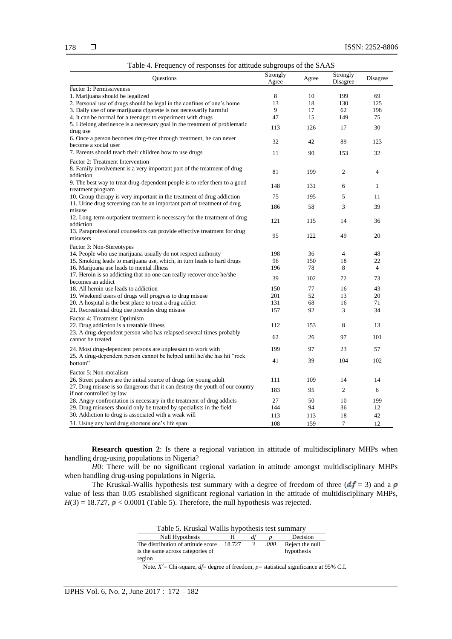|                                                                              | Strongly |       | Strongly       |                |
|------------------------------------------------------------------------------|----------|-------|----------------|----------------|
| Questions                                                                    | Agree    | Agree | Disagree       | Disagree       |
| Factor 1: Permissiveness                                                     |          |       |                |                |
| 1. Marijuana should be legalized                                             | 8        | 10    | 199            | 69             |
| 2. Personal use of drugs should be legal in the confines of one's home       | 13       | 18    | 130            | 125            |
| 3. Daily use of one marijuana cigarette is not necessarily harmful           | 9        | 17    | 62             | 198            |
| 4. It can be normal for a teenager to experiment with drugs                  | 47       | 15    | 149            | 75             |
| 5. Lifelong abstinence is a necessary goal in the treatment of problematic   |          |       |                | 30             |
| drug use                                                                     | 113      | 126   | 17             |                |
| 6. Once a person becomes drug-free through treatment, he can never           | 32       | 42    | 89             | 123            |
| become a social user                                                         |          |       |                |                |
| 7. Parents should teach their children how to use drugs                      | 11       | 90    | 153            | 32             |
| Factor 2: Treatment Intervention                                             |          |       |                |                |
| 8. Family involvement is a very important part of the treatment of drug      |          |       |                |                |
| addiction                                                                    | 81       | 199   | $\mathfrak{2}$ | 4              |
| 9. The best way to treat drug-dependent people is to refer them to a good    |          |       |                |                |
| treatment program                                                            | 148      | 131   | 6              | $\mathbf{1}$   |
| 10. Group therapy is very important in the treatment of drug addiction       | 75       | 195   | 5              | 11             |
| 11. Urine drug screening can be an important part of treatment of drug       |          |       |                |                |
| misuse                                                                       | 186      | 58    | 3              | 39             |
| 12. Long-term outpatient treatment is necessary for the treatment of drug    |          |       |                |                |
| addiction                                                                    | 121      | 115   | 14             | 36             |
| 13. Paraprofessional counselors can provide effective treatment for drug     |          |       |                |                |
| misusers                                                                     | 95       | 122   | 49             | 20             |
| Factor 3: Non-Stereotypes                                                    |          |       |                |                |
| 14. People who use marijuana usually do not respect authority                | 198      | 36    | $\overline{4}$ | 48             |
| 15. Smoking leads to marijuana use, which, in turn leads to hard drugs       | 96       | 150   | 18             | 22             |
| 16. Marijuana use leads to mental illness                                    | 196      | 78    | 8              | $\overline{4}$ |
| 17. Heroin is so addicting that no one can really recover once he/she        | 39       | 102   | 72             | 73             |
| becomes an addict                                                            |          |       |                |                |
| 18. All heroin use leads to addiction                                        | 150      | 77    | 16             | 43             |
| 19. Weekend users of drugs will progress to drug misuse                      | 201      | 52    | 13             | 20             |
| 20. A hospital is the best place to treat a drug addict                      | 131      | 68    | 16             | 71             |
| 21. Recreational drug use precedes drug misuse                               | 157      | 92    | 3              | 34             |
| Factor 4: Treatment Optimism                                                 |          |       |                |                |
| 22. Drug addiction is a treatable illness                                    | 112      | 153   | 8              | 13             |
| 23. A drug-dependent person who has relapsed several times probably          |          |       |                |                |
| cannot be treated                                                            | 62       | 26    | 97             | 101            |
| 24. Most drug-dependent persons are unpleasant to work with                  | 199      | 97    | 23             | 57             |
| 25. A drug-dependent person cannot be helped until he/she has hit "rock"     |          |       |                |                |
| bottom"                                                                      | 41       | 39    | 104            | 102            |
|                                                                              |          |       |                |                |
| Factor 5: Non-moralism                                                       |          |       |                |                |
| 26. Street pushers are the initial source of drugs for young adult           | 111      | 109   | 14             | 14             |
| 27. Drug misuse is so dangerous that it can destroy the youth of our country | 183      | 95    | $\mathfrak{2}$ | 6              |
| if not controlled by law                                                     | 27       | 50    | 10             | 199            |
| 28. Angry confrontation is necessary in the treatment of drug addicts        | 144      | 94    | 36             | 12             |
| 29. Drug misusers should only be treated by specialists in the field         |          |       |                |                |
| 30. Addiction to drug is associated with a weak will                         | 113      | 113   | 18             | 42             |
| 31. Using any hard drug shortens one's life span                             | 108      | 159   | $\tau$         | 12             |

|  |  | Table 4. Frequency of responses for attitude subgroups of the SAAS |  |
|--|--|--------------------------------------------------------------------|--|
|--|--|--------------------------------------------------------------------|--|

**Research question 2**: Is there a regional variation in attitude of multidisciplinary MHPs when handling drug-using populations in Nigeria?

*H*0: There will be no significant regional variation in attitude amongst multidisciplinary MHPs when handling drug-using populations in Nigeria.

The Kruskal-Wallis hypothesis test summary with a degree of freedom of three  $(df = 3)$  and a  $\rho$ value of less than 0.05 established significant regional variation in the attitude of multidisciplinary MHPs,  $H(3) = 18.727$ ,  $\rho < 0.0001$  (Table 5). Therefore, the null hypothesis was rejected.

| Table 5. Kruskal Wallis hypothesis test summary                                  |        |   |      |                               |  |  |
|----------------------------------------------------------------------------------|--------|---|------|-------------------------------|--|--|
| Decision<br>Null Hypothesis                                                      |        |   |      |                               |  |  |
| The distribution of attitude score<br>is the same across categories of<br>region | 18.727 | 3 | .000 | Reject the null<br>hypothesis |  |  |

Note.  $X^2$  = Chi-square, *df* = degree of freedom, *p* = statistical significance at 95% C.I.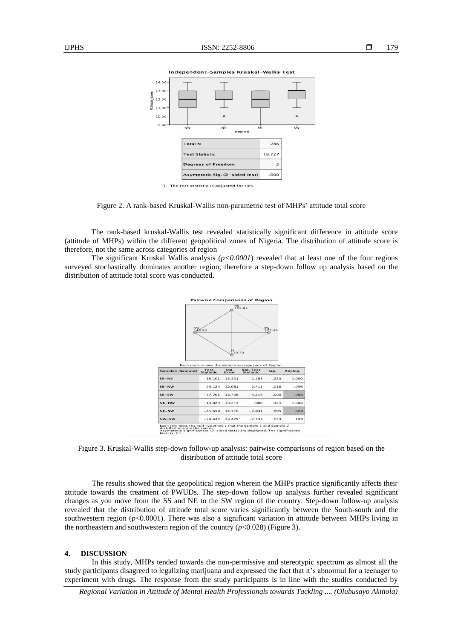

Figure 2. A rank-based Kruskal-Wallis non-parametric test of MHPs' attitude total score

The rank-based kruskal-Wallis test revealed statistically significant difference in attitude score (attitude of MHPs) within the different geopolitical zones of Nigeria. The distribution of attitude score is therefore, not the same across categories of region

The significant Kruskal Wallis analysis  $(p<0.0001)$  revealed that at least one of the four regions surveyed stochastically dominates another region; therefore a step-down follow up analysis based on the distribution of attitude total score was conducted.



Figure 3. Kruskal-Wallis step-down follow-up analysis: pairwise comparisons of region based on the distribution of attitude total score

The results showed that the geopolitical region wherein the MHPs practice significantly affects their attitude towards the treatment of PWUDs. The step-down follow up analysis further revealed significant changes as you move from the SS and NE to the SW region of the country. Step-down follow-up analysis revealed that the distribution of attitude total score varies significantly between the South-south and the southwestern region ( $p$ <0.0001). There was also a significant variation in attitude between MHPs living in the northeastern and southwestern region of the country  $(p<0.028)$  (Figure 3).

#### **4. DISCUSSION**

In this study, MHPs tended towards the non-permissive and stereotypic spectrum as almost all the study participants disagreed to legalizing marijuana and expressed the fact that it's abnormal for a teenager to experiment with drugs. The response from the study participants is in line with the studies conducted by

*Regional Variation in Attitude of Mental Health Professionals towards Tackling .... (Olubusayo Akinola)*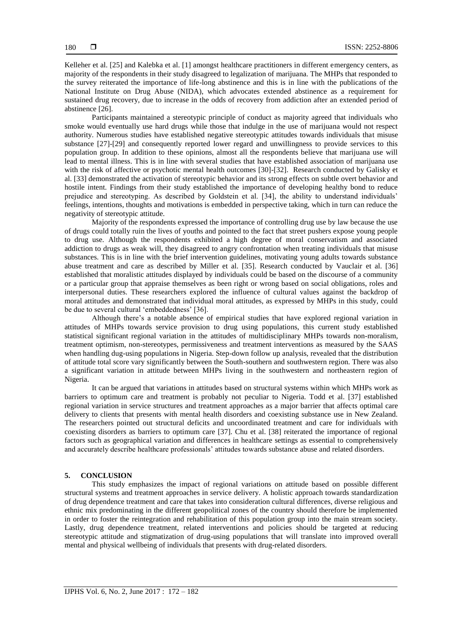Kelleher et al. [25] and Kalebka et al. [1] amongst healthcare practitioners in different emergency centers, as majority of the respondents in their study disagreed to legalization of marijuana. The MHPs that responded to the survey reiterated the importance of life-long abstinence and this is in line with the publications of the National Institute on Drug Abuse (NIDA), which advocates extended abstinence as a requirement for sustained drug recovery, due to increase in the odds of recovery from addiction after an extended period of abstinence [26].

Participants maintained a stereotypic principle of conduct as majority agreed that individuals who smoke would eventually use hard drugs while those that indulge in the use of marijuana would not respect authority. Numerous studies have established negative stereotypic attitudes towards individuals that misuse substance [27]-[29] and consequently reported lower regard and unwillingness to provide services to this population group. In addition to these opinions, almost all the respondents believe that marijuana use will lead to mental illness. This is in line with several studies that have established association of marijuana use with the risk of affective or psychotic mental health outcomes [30]-[32]. Research conducted by Galisky et al. [33] demonstrated the activation of stereotypic behavior and its strong effects on subtle overt behavior and hostile intent. Findings from their study established the importance of developing healthy bond to reduce prejudice and stereotyping. As described by Goldstein et al. [34], the ability to understand individuals' feelings, intentions, thoughts and motivations is embedded in perspective taking, which in turn can reduce the negativity of stereotypic attitude.

Majority of the respondents expressed the importance of controlling drug use by law because the use of drugs could totally ruin the lives of youths and pointed to the fact that street pushers expose young people to drug use. Although the respondents exhibited a high degree of moral conservatism and associated addiction to drugs as weak will, they disagreed to angry confrontation when treating individuals that misuse substances. This is in line with the brief intervention guidelines, motivating young adults towards substance abuse treatment and care as described by Miller et al. [35]. Research conducted by Vauclair et al. [36] established that moralistic attitudes displayed by individuals could be based on the discourse of a community or a particular group that appraise themselves as been right or wrong based on social obligations, roles and interpersonal duties. These researchers explored the influence of cultural values against the backdrop of moral attitudes and demonstrated that individual moral attitudes, as expressed by MHPs in this study, could be due to several cultural 'embeddedness' [36].

Although there's a notable absence of empirical studies that have explored regional variation in attitudes of MHPs towards service provision to drug using populations, this current study established statistical significant regional variation in the attitudes of multidisciplinary MHPs towards non-moralism, treatment optimism, non-stereotypes, permissiveness and treatment interventions as measured by the SAAS when handling dug-using populations in Nigeria. Step-down follow up analysis, revealed that the distribution of attitude total score vary significantly between the South-southern and southwestern region. There was also a significant variation in attitude between MHPs living in the southwestern and northeastern region of Nigeria.

It can be argued that variations in attitudes based on structural systems within which MHPs work as barriers to optimum care and treatment is probably not peculiar to Nigeria. Todd et al. [37] established regional variation in service structures and treatment approaches as a major barrier that affects optimal care delivery to clients that presents with mental health disorders and coexisting substance use in New Zealand. The researchers pointed out structural deficits and uncoordinated treatment and care for individuals with coexisting disorders as barriers to optimum care [37]. Chu et al. [38] reiterated the importance of regional factors such as geographical variation and differences in healthcare settings as essential to comprehensively and accurately describe healthcare professionals' attitudes towards substance abuse and related disorders.

#### **5. CONCLUSION**

This study emphasizes the impact of regional variations on attitude based on possible different structural systems and treatment approaches in service delivery. A holistic approach towards standardization of drug dependence treatment and care that takes into consideration cultural differences, diverse religious and ethnic mix predominating in the different geopolitical zones of the country should therefore be implemented in order to foster the reintegration and rehabilitation of this population group into the main stream society. Lastly, drug dependence treatment, related interventions and policies should be targeted at reducing stereotypic attitude and stigmatization of drug-using populations that will translate into improved overall mental and physical wellbeing of individuals that presents with drug-related disorders.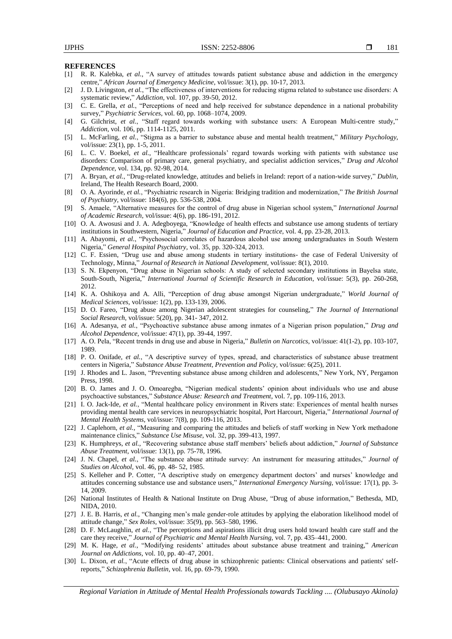#### **REFERENCES**

- [1] R. R. Kalebka, *et al.*, "A survey of attitudes towards patient substance abuse and addiction in the emergency centre," *African Journal of Emergency Medicine*, vol/issue: 3(1), pp. 10-17, 2013.
- [2] J. D. Livingston, *et al.*, "The effectiveness of interventions for reducing stigma related to substance use disorders: A systematic review," *Addiction,* vol. 107, pp. 39-50, 2012.
- [3] C. E. Grella, *et al.*, "Perceptions of need and help received for substance dependence in a national probability survey," *Psychiatric Services*, vol. 60, pp. 1068–1074, 2009.
- [4] G. Gilchrist, *et al.*, "Staff regard towards working with substance users: A European Multi-centre study," *Addiction,* vol. 106, pp. 1114-1125, 2011.
- [5] L. McFarling, *et al.*, "Stigma as a barrier to substance abuse and mental health treatment," *Military Psychology*, vol/issue: 23(1), pp. 1-5, 2011.
- [6] L. C. V. Boekel, *et al.*, "Healthcare professionals' regard towards working with patients with substance use disorders: Comparison of primary care, general psychiatry, and specialist addiction services," *Drug and Alcohol Dependence*, vol. 134, pp. 92-98, 2014.
- [7] A. Bryan, *et al.*, "Drug-related knowledge, attitudes and beliefs in Ireland: report of a nation-wide survey," *Dublin,*  Ireland, The Health Research Board, 2000.
- [8] O. A. Ayorinde, *et al.*, "Psychiatric research in Nigeria: Bridging tradition and modernization," *The British Journal of Psychiatry,* vol/issue: 184(6), pp. 536-538, 2004.
- [9] S. Amaele, "Alternative measures for the control of drug abuse in Nigerian school system," *International Journal of Academic Research,* vol/issue: 4(6), pp. 186-191, 2012.
- [10] O. A. Awosusi and J. A. Adegboyega, "Knowledge of health effects and substance use among students of tertiary institutions in Southwestern, Nigeria," *Journal of Education and Practice,* vol. 4, pp. 23-28, 2013.
- [11] A. Abayomi, *et al.*, "Psychosocial correlates of hazardous alcohol use among undergraduates in South Western Nigeria," *General Hospital Psychiatry,* vol. 35, pp. 320-324, 2013.
- [12] C. F. Essien, "Drug use and abuse among students in tertiary institutions- the case of Federal University of Technology, Minna," *Journal of Research in National Development,* vol/issue: 8(1), 2010.
- [13] S. N. Ekpenyon, "Drug abuse in Nigerian schools: A study of selected secondary institutions in Bayelsa state, South-South, Nigeria," *International Journal of Scientific Research in Education*, vol/issue: 5(3), pp. 260-268, 2012.
- [14] K. A. Oshikoya and A. Alli, "Perception of drug abuse amongst Nigerian undergraduate," *World Journal of Medical Sciences,* vol/issue: 1(2), pp. 133-139, 2006.
- [15] D. O. Fareo, "Drug abuse among Nigerian adolescent strategies for counseling," *The Journal of International Social Research,* vol/issue: 5(20), pp. 341- 347, 2012.
- [16] A. Adesanya, *et al.*, "Psychoactive substance abuse among inmates of a Nigerian prison population," *Drug and Alcohol Dependence,* vol/issue: 47(1), pp. 39-44, 1997.
- [17] A. O. Pela, "Recent trends in drug use and abuse in Nigeria," *Bulletin on Narcotics,* vol/issue: 41(1-2), pp. 103-107, 1989.
- [18] P. O. Onifade, *et al.*, "A descriptive survey of types, spread, and characteristics of substance abuse treatment centers in Nigeria," *Substance Abuse Treatment, Prevention and Policy,* vol/issue: 6(25), 2011.
- [19] J. Rhodes and L. Jason, "Preventing substance abuse among children and adolescents," New York, NY, Pergamon Press, 1998*.*
- [20] B. O. James and J. O. Omoaregba, "Nigerian medical students' opinion about individuals who use and abuse psychoactive substances," *Substance Abuse: Research and Treatment*, vol. 7, pp. 109-116, 2013.
- [21] I. O. Jack-Ide, *et al.*, "Mental healthcare policy environment in Rivers state: Experiences of mental health nurses providing mental health care services in neuropsychiatric hospital, Port Harcourt, Nigeria," *International Journal of Mental Health Systems*, vol/issue: 7(8), pp. 109-116, 2013.
- [22] J. Caplehorn, *et al.*, "Measuring and comparing the attitudes and beliefs of staff working in New York methadone maintenance clinics," *Substance Use Misuse,* vol. 32, pp. 399-413, 1997.
- [23] K. Humphreys, *et al.*, "Recovering substance abuse staff members' beliefs about addiction," *Journal of Substance Abuse Treatment*, vol/issue: 13(1), pp. 75-78, 1996.
- [24] J. N. Chapel, *et al.*, "The substance abuse attitude survey: An instrument for measuring attitudes," *Journal of Studies on Alcohol,* vol. 46, pp. 48- 52, 1985.
- [25] S. Kelleher and P. Cotter, "A descriptive study on emergency department doctors' and nurses' knowledge and attitudes concerning substance use and substance users," *International Emergency Nursing,* vol/issue: 17(1), pp. 3- 14, 2009.
- [26] National Institutes of Health & National Institute on Drug Abuse, "Drug of abuse information," Bethesda, MD, NIDA, 2010.
- [27] J. E. B. Harris, *et al.*, "Changing men's male gender-role attitudes by applying the elaboration likelihood model of attitude change," *Sex Roles,* vol/issue: 35(9), pp. 563–580, 1996.
- [28] D. F. McLaughlin, *et al.*, "The perceptions and aspirations illicit drug users hold toward health care staff and the care they receive," *Journal of Psychiatric and Mental Health Nursing,* vol. 7, pp. 435–441, 2000.
- [29] M. K. Hage, *et al.*, "Modifying residents' attitudes about substance abuse treatment and training," *American Journal on Addictions,* vol. 10, pp. 40–47, 2001.
- [30] L. Dixon, *et al.*, "Acute effects of drug abuse in schizophrenic patients: Clinical observations and patients' selfreports," *Schizophrenia Bulletin,* vol. 16, pp. 69-79, 1990.